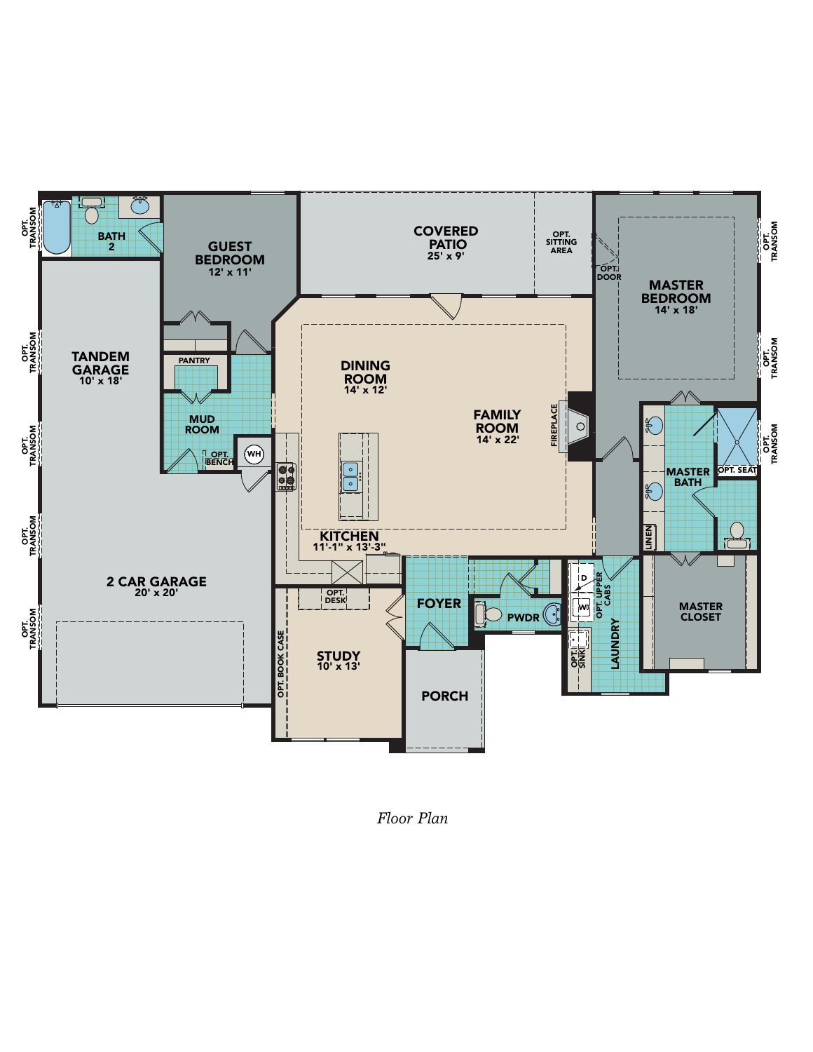

*Floor Plan*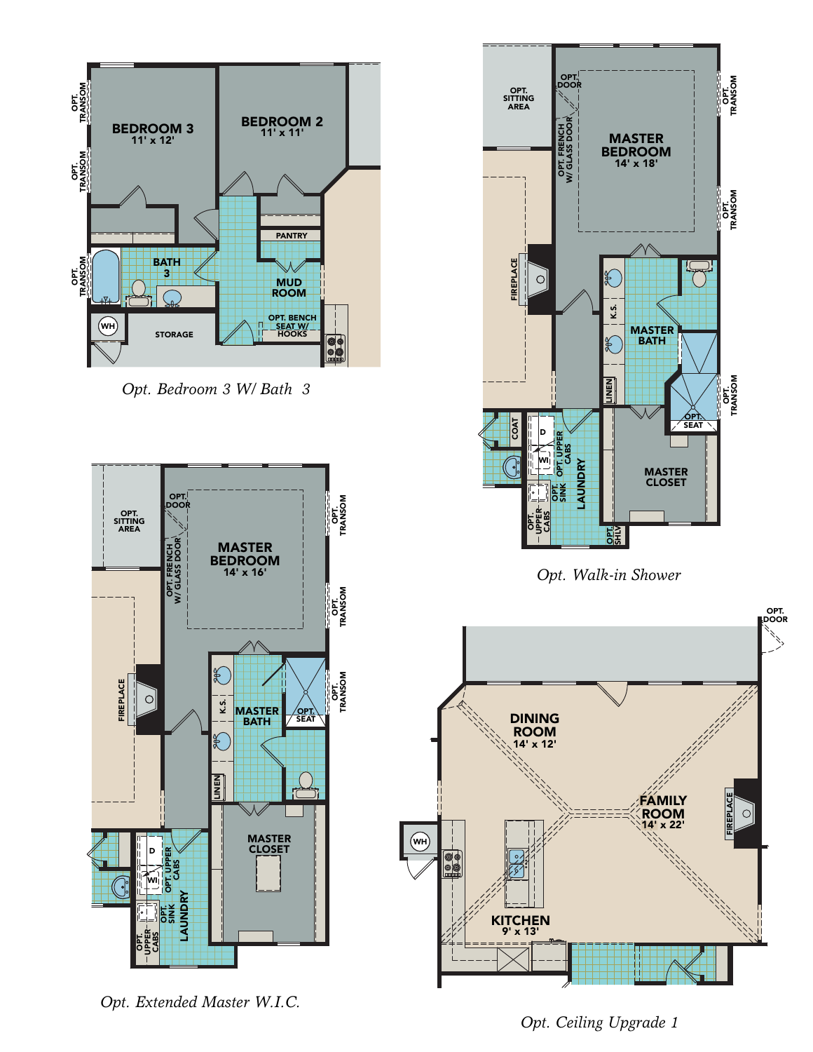

*Opt. Bedroom 3 W/ Bath 3*



 $\circledast$ 





*Opt. Extended Master W.I.C.*

*Opt. Ceiling Upgrade 1*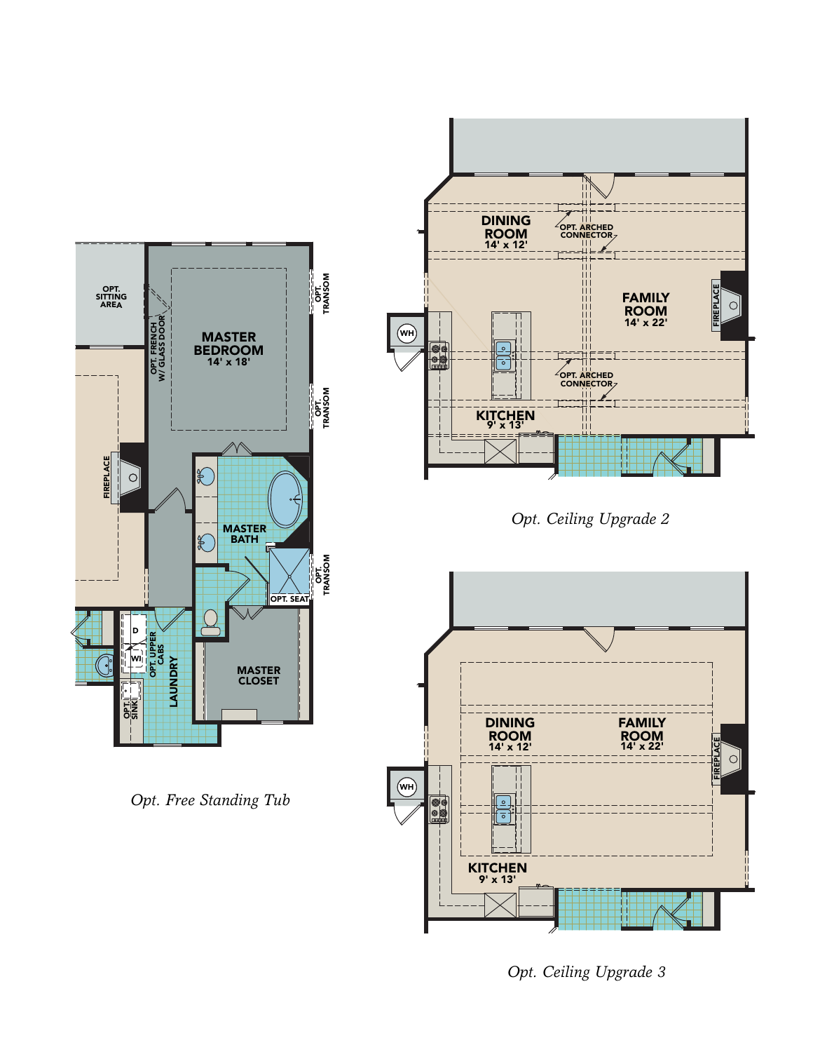

*Opt. Free Standing Tub*



*Opt. Ceiling Upgrade 3*